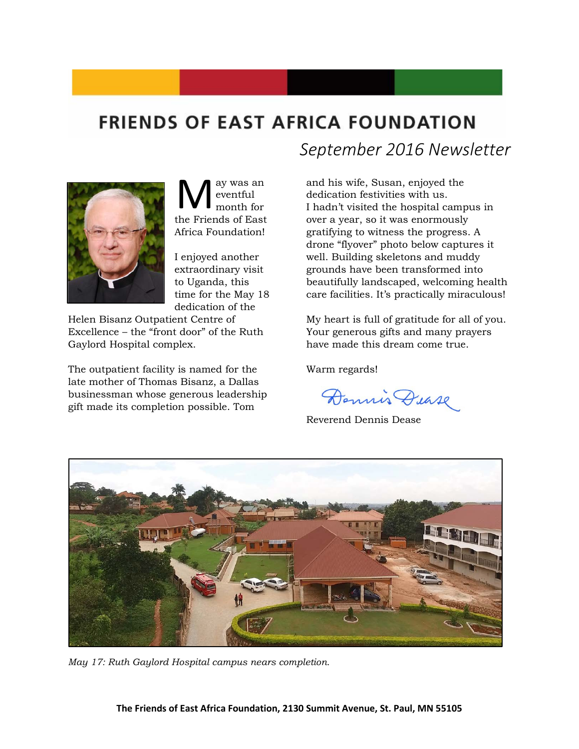## **FRIENDS OF EAST AFRICA FOUNDATION**



ay was an eventful month for **M** eventful<br>the Friends of East Africa Foundation!

I enjoyed another extraordinary visit to Uganda, this time for the May 18 dedication of the

Helen Bisanz Outpatient Centre of Excellence – the "front door" of the Ruth Gaylord Hospital complex.

The outpatient facility is named for the late mother of Thomas Bisanz, a Dallas businessman whose generous leadership gift made its completion possible. Tom

*September 2016 Newsletter*

and his wife, Susan, enjoyed the dedication festivities with us. I hadn't visited the hospital campus in over a year, so it was enormously gratifying to witness the progress. A drone "flyover" photo below captures it well. Building skeletons and muddy grounds have been transformed into beautifully landscaped, welcoming health care facilities. It's practically miraculous!

My heart is full of gratitude for all of you. Your generous gifts and many prayers have made this dream come true.

Warm regards!

Dennis Dease

Reverend Dennis Dease



*May 17: Ruth Gaylord Hospital campus nears completion.*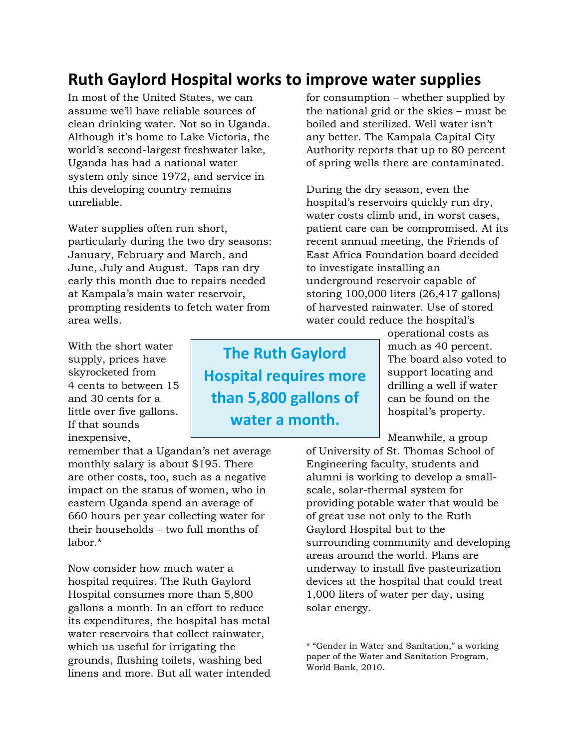### **Ruth Gaylord Hospital works to improve water supplies**

In most of the United States, we can assume we'll have reliable sources of clean drinking water. Not so in Uganda. Although it's home to Lake Victoria, the world's second-largest freshwater lake, Uganda has had a national water system only since 1972, and service in this developing country remains unreliable.

Water supplies often run short, particularly during the two dry seasons: January, February and March, and June, July and August. Taps ran dry early this month due to repairs needed at Kampala's main water reservoir, prompting residents to fetch water from area wells.

With the short water supply, prices have skyrocketed from 4 cents to between 15 and 30 cents for a little over five gallons. If that sounds inexpensive,

remember that a Ugandan's net average monthly salary is about \$195. There are other costs, too, such as a negative impact on the status of women, who in eastern Uganda spend an average of 660 hours per year collecting water for their households – two full months of labor.\*

Now consider how much water a hospital requires. The Ruth Gaylord Hospital consumes more than 5,800 gallons a month. In an effort to reduce its expenditures, the hospital has metal water reservoirs that collect rainwater, which us useful for irrigating the grounds, flushing toilets, washing bed linens and more. But all water intended

**The Ruth Gaylord Hospital requires more than 5,800 gallons of water a month.**

for consumption – whether supplied by the national grid or the skies – must be boiled and sterilized. Well water isn't any better. The Kampala Capital City Authority reports that up to 80 percent of spring wells there are contaminated.

During the dry season, even the hospital's reservoirs quickly run dry, water costs climb and, in worst cases, patient care can be compromised. At its recent annual meeting, the Friends of East Africa Foundation board decided to investigate installing an underground reservoir capable of storing 100,000 liters (26,417 gallons) of harvested rainwater. Use of stored water could reduce the hospital's

> operational costs as much as 40 percent. The board also voted to support locating and drilling a well if water can be found on the hospital's property.

Meanwhile, a group

of University of St. Thomas School of Engineering faculty, students and alumni is working to develop a smallscale, solar-thermal system for providing potable water that would be of great use not only to the Ruth Gaylord Hospital but to the surrounding community and developing areas around the world. Plans are underway to install five pasteurization devices at the hospital that could treat 1,000 liters of water per day, using solar energy.

\* "Gender in Water and Sanitation," a working paper of the Water and Sanitation Program, World Bank, 2010.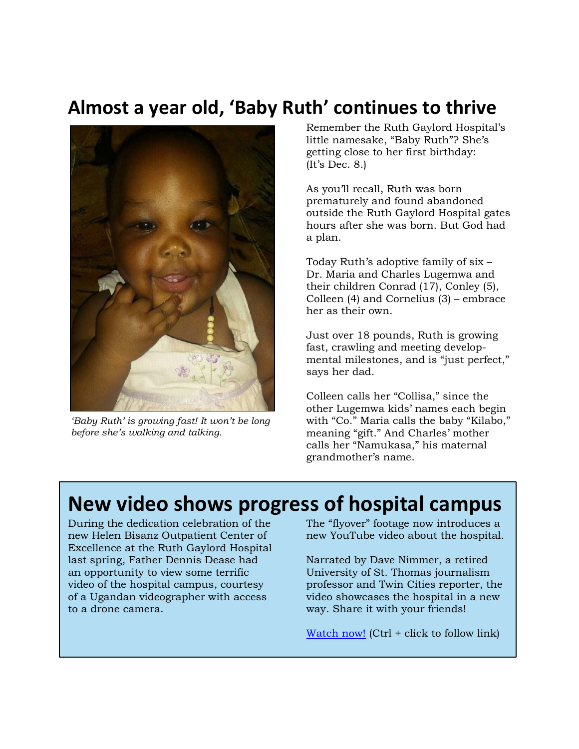# **Almost a year old, 'Baby Ruth' continues to thrive**



*'Baby Ruth' is growing fast! It won't be long before she's walking and talking.* 

Remember the Ruth Gaylord Hospital's little namesake, "Baby Ruth"? She's getting close to her first birthday: (It's Dec. 8.)

As you'll recall, Ruth was born prematurely and found abandoned outside the Ruth Gaylord Hospital gates hours after she was born. But God had a plan.

Today Ruth's adoptive family of six – Dr. Maria and Charles Lugemwa and their children Conrad (17), Conley (5), Colleen (4) and Cornelius (3) – embrace her as their own.

Just over 18 pounds, Ruth is growing fast, crawling and meeting developmental milestones, and is "just perfect," says her dad.

Colleen calls her "Collisa," since the other Lugemwa kids' names each begin with "Co." Maria calls the baby "Kilabo," meaning "gift." And Charles' mother calls her "Namukasa," his maternal grandmother's name.

## **New video shows progress of hospital campus**

During the dedication celebration of the new Helen Bisanz Outpatient Center of Excellence at the Ruth Gaylord Hospital last spring, Father Dennis Dease had an opportunity to view some terrific video of the hospital campus, courtesy of a Ugandan videographer with access to a drone camera.

The "flyover" footage now introduces a new YouTube video about the hospital.

Narrated by Dave Nimmer, a retired University of St. Thomas journalism professor and Twin Cities reporter, the video showcases the hospital in a new way. Share it with your friends!

[Watch now!](https://www.youtube.com/watch?v=lWlWk6gq-RA) (Ctrl + click to follow link)